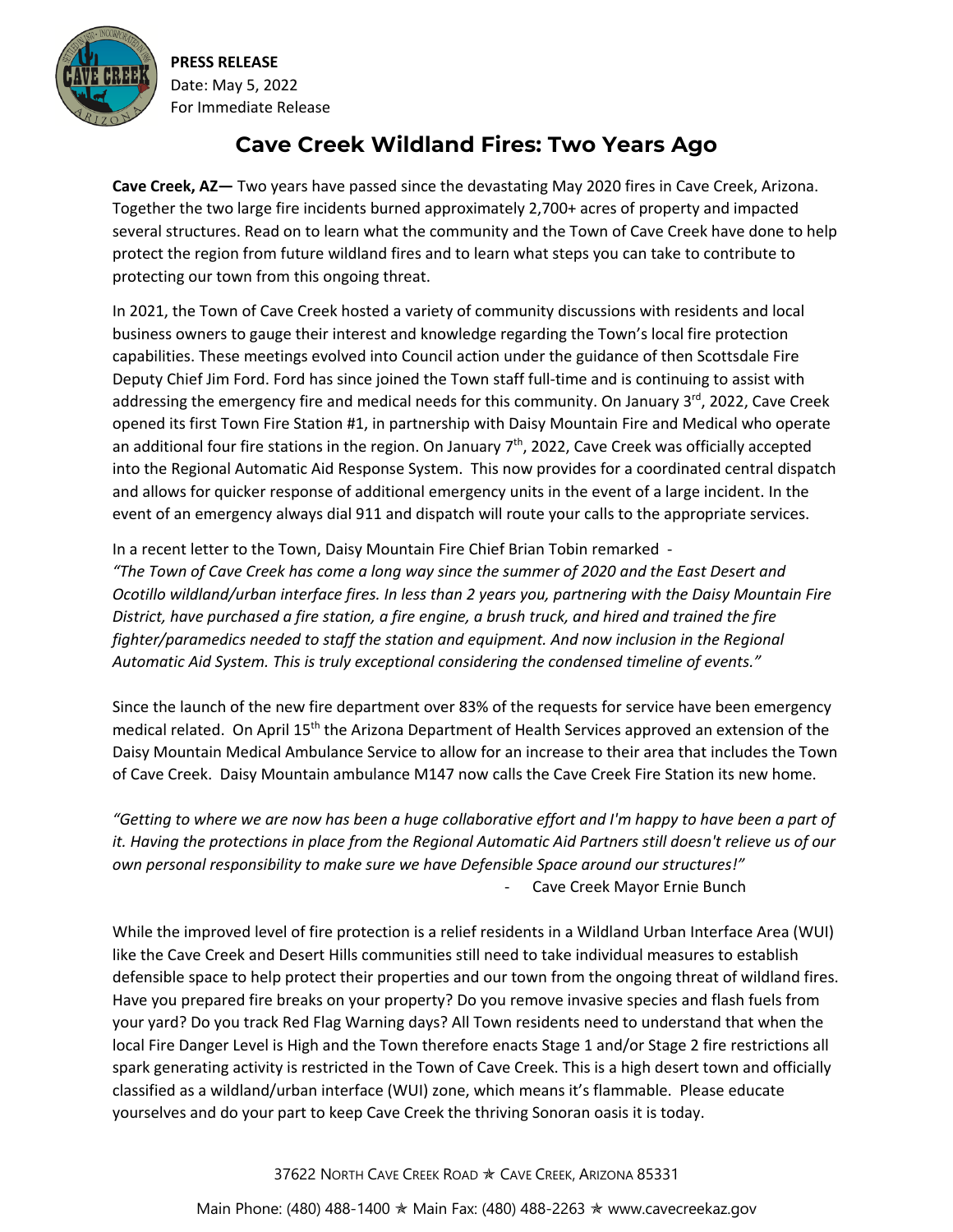

**PRESS RELEASE** Date: May 5, 2022 For Immediate Release

## **Cave Creek Wildland Fires: Two Years Ago**

**Cave Creek, AZ—** Two years have passed since the devastating May 2020 fires in Cave Creek, Arizona. Together the two large fire incidents burned approximately 2,700+ acres of property and impacted several structures. Read on to learn what the community and the Town of Cave Creek have done to help protect the region from future wildland fires and to learn what steps you can take to contribute to protecting our town from this ongoing threat.

In 2021, the Town of Cave Creek hosted a variety of community discussions with residents and local business owners to gauge their interest and knowledge regarding the Town's local fire protection capabilities. These meetings evolved into Council action under the guidance of then Scottsdale Fire Deputy Chief Jim Ford. Ford has since joined the Town staff full-time and is continuing to assist with addressing the emergency fire and medical needs for this community. On January 3rd, 2022, Cave Creek opened its first Town Fire Station #1, in partnership with Daisy Mountain Fire and Medical who operate an additional four fire stations in the region. On January  $7<sup>th</sup>$ , 2022, Cave Creek was officially accepted into the Regional Automatic Aid Response System. This now provides for a coordinated central dispatch and allows for quicker response of additional emergency units in the event of a large incident. In the event of an emergency always dial 911 and dispatch will route your calls to the appropriate services.

In a recent letter to the Town, Daisy Mountain Fire Chief Brian Tobin remarked - *"The Town of Cave Creek has come a long way since the summer of 2020 and the East Desert and Ocotillo wildland/urban interface fires. In less than 2 years you, partnering with the Daisy Mountain Fire District, have purchased a fire station, a fire engine, a brush truck, and hired and trained the fire fighter/paramedics needed to staff the station and equipment. And now inclusion in the Regional Automatic Aid System. This is truly exceptional considering the condensed timeline of events."* 

Since the launch of the new fire department over 83% of the requests for service have been emergency medical related. On April 15<sup>th</sup> the Arizona Department of Health Services approved an extension of the Daisy Mountain Medical Ambulance Service to allow for an increase to their area that includes the Town of Cave Creek. Daisy Mountain ambulance M147 now calls the Cave Creek Fire Station its new home.

*"Getting to where we are now has been a huge collaborative effort and I'm happy to have been a part of it. Having the protections in place from the Regional Automatic Aid Partners still doesn't relieve us of our own personal responsibility to make sure we have Defensible Space around our structures!"* - Cave Creek Mayor Ernie Bunch

While the improved level of fire protection is a relief residents in a Wildland Urban Interface Area (WUI) like the Cave Creek and Desert Hills communities still need to take individual measures to establish defensible space to help protect their properties and our town from the ongoing threat of wildland fires. Have you prepared fire breaks on your property? Do you remove invasive species and flash fuels from your yard? Do you track Red Flag Warning days? All Town residents need to understand that when the local Fire Danger Level is High and the Town therefore enacts Stage 1 and/or Stage 2 fire restrictions all spark generating activity is restricted in the Town of Cave Creek. This is a high desert town and officially classified as a wildland/urban interface (WUI) zone, which means it's flammable. Please educate yourselves and do your part to keep Cave Creek the thriving Sonoran oasis it is today.